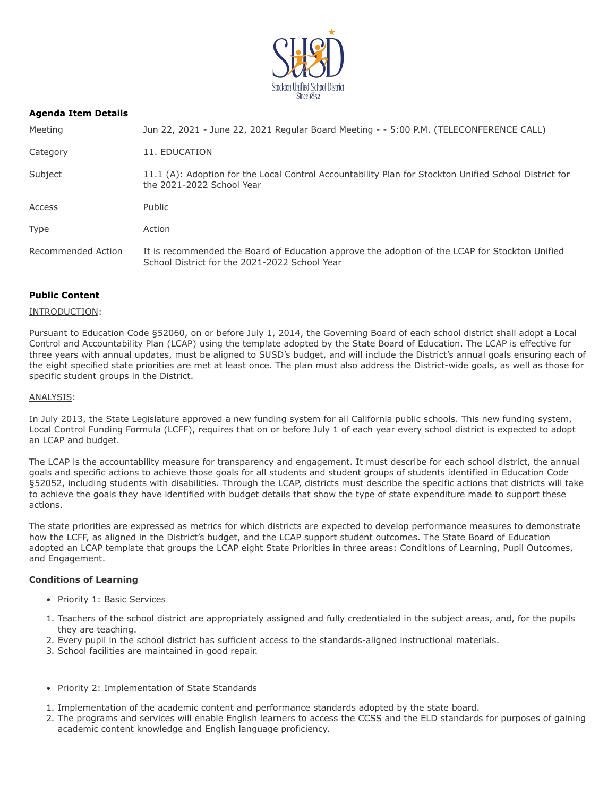

# **Agenda Item Details**

| Meeting            | Jun 22, 2021 - June 22, 2021 Regular Board Meeting - - 5:00 P.M. (TELECONFERENCE CALL)                                                          |
|--------------------|-------------------------------------------------------------------------------------------------------------------------------------------------|
| Category           | 11. EDUCATION                                                                                                                                   |
| Subject            | 11.1 (A): Adoption for the Local Control Accountability Plan for Stockton Unified School District for<br>the 2021-2022 School Year              |
| Access             | Public                                                                                                                                          |
| <b>Type</b>        | Action                                                                                                                                          |
| Recommended Action | It is recommended the Board of Education approve the adoption of the LCAP for Stockton Unified<br>School District for the 2021-2022 School Year |

# **Public Content**

#### INTRODUCTION:

Pursuant to Education Code §52060, on or before July 1, 2014, the Governing Board of each school district shall adopt a Local Control and Accountability Plan (LCAP) using the template adopted by the State Board of Education. The LCAP is effective for three years with annual updates, must be aligned to SUSD's budget, and will include the District's annual goals ensuring each of the eight specified state priorities are met at least once. The plan must also address the District-wide goals, as well as those for specific student groups in the District.

#### ANALYSIS:

In July 2013, the State Legislature approved a new funding system for all California public schools. This new funding system, Local Control Funding Formula (LCFF), requires that on or before July 1 of each year every school district is expected to adopt an LCAP and budget.

The LCAP is the accountability measure for transparency and engagement. It must describe for each school district, the annual goals and specific actions to achieve those goals for all students and student groups of students identified in Education Code §52052, including students with disabilities. Through the LCAP, districts must describe the specific actions that districts will take to achieve the goals they have identified with budget details that show the type of state expenditure made to support these actions.

The state priorities are expressed as metrics for which districts are expected to develop performance measures to demonstrate how the LCFF, as aligned in the District's budget, and the LCAP support student outcomes. The State Board of Education adopted an LCAP template that groups the LCAP eight State Priorities in three areas: Conditions of Learning, Pupil Outcomes, and Engagement.

### **Conditions of Learning**

- Priority 1: Basic Services
- 1. Teachers of the school district are appropriately assigned and fully credentialed in the subject areas, and, for the pupils they are teaching.
- 2. Every pupil in the school district has sufficient access to the standards-aligned instructional materials.
- 3. School facilities are maintained in good repair.
- Priority 2: Implementation of State Standards
- 1. Implementation of the academic content and performance standards adopted by the state board.
- 2. The programs and services will enable English learners to access the CCSS and the ELD standards for purposes of gaining academic content knowledge and English language proficiency.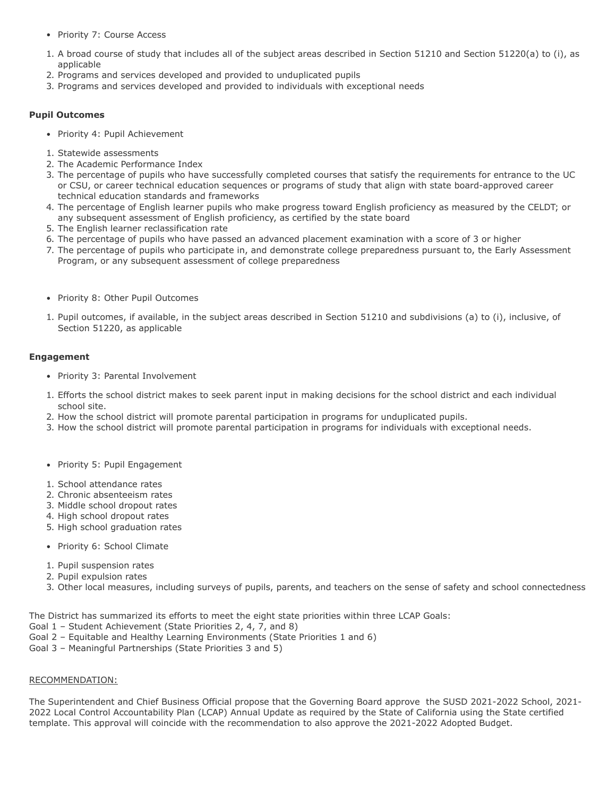- Priority 7: Course Access
- 1. A broad course of study that includes all of the subject areas described in Section 51210 and Section 51220(a) to (i), as applicable
- 2. Programs and services developed and provided to unduplicated pupils
- 3. Programs and services developed and provided to individuals with exceptional needs

# **Pupil Outcomes**

- Priority 4: Pupil Achievement
- 1. Statewide assessments
- 2. The Academic Performance Index
- 3. The percentage of pupils who have successfully completed courses that satisfy the requirements for entrance to the UC or CSU, or career technical education sequences or programs of study that align with state board-approved career technical education standards and frameworks
- 4. The percentage of English learner pupils who make progress toward English proficiency as measured by the CELDT; or any subsequent assessment of English proficiency, as certified by the state board
- 5. The English learner reclassification rate
- 6. The percentage of pupils who have passed an advanced placement examination with a score of 3 or higher
- 7. The percentage of pupils who participate in, and demonstrate college preparedness pursuant to, the Early Assessment Program, or any subsequent assessment of college preparedness
- Priority 8: Other Pupil Outcomes
- 1. Pupil outcomes, if available, in the subject areas described in Section 51210 and subdivisions (a) to (i), inclusive, of Section 51220, as applicable

# **Engagement**

- Priority 3: Parental Involvement
- 1. Efforts the school district makes to seek parent input in making decisions for the school district and each individual school site.
- 2. How the school district will promote parental participation in programs for unduplicated pupils.
- 3. How the school district will promote parental participation in programs for individuals with exceptional needs.
- Priority 5: Pupil Engagement
- 1. School attendance rates
- 2. Chronic absenteeism rates
- 3. Middle school dropout rates
- 4. High school dropout rates
- 5. High school graduation rates
- Priority 6: School Climate
- 1. Pupil suspension rates
- 2. Pupil expulsion rates
- 3. Other local measures, including surveys of pupils, parents, and teachers on the sense of safety and school connectedness

The District has summarized its efforts to meet the eight state priorities within three LCAP Goals:

- Goal 1 Student Achievement (State Priorities 2, 4, 7, and 8)
- Goal 2 Equitable and Healthy Learning Environments (State Priorities 1 and 6)
- Goal 3 Meaningful Partnerships (State Priorities 3 and 5)

### RECOMMENDATION:

The Superintendent and Chief Business Official propose that the Governing Board approve the SUSD 2021-2022 School, 2021- 2022 Local Control Accountability Plan (LCAP) Annual Update as required by the State of California using the State certified template. This approval will coincide with the recommendation to also approve the 2021-2022 Adopted Budget.